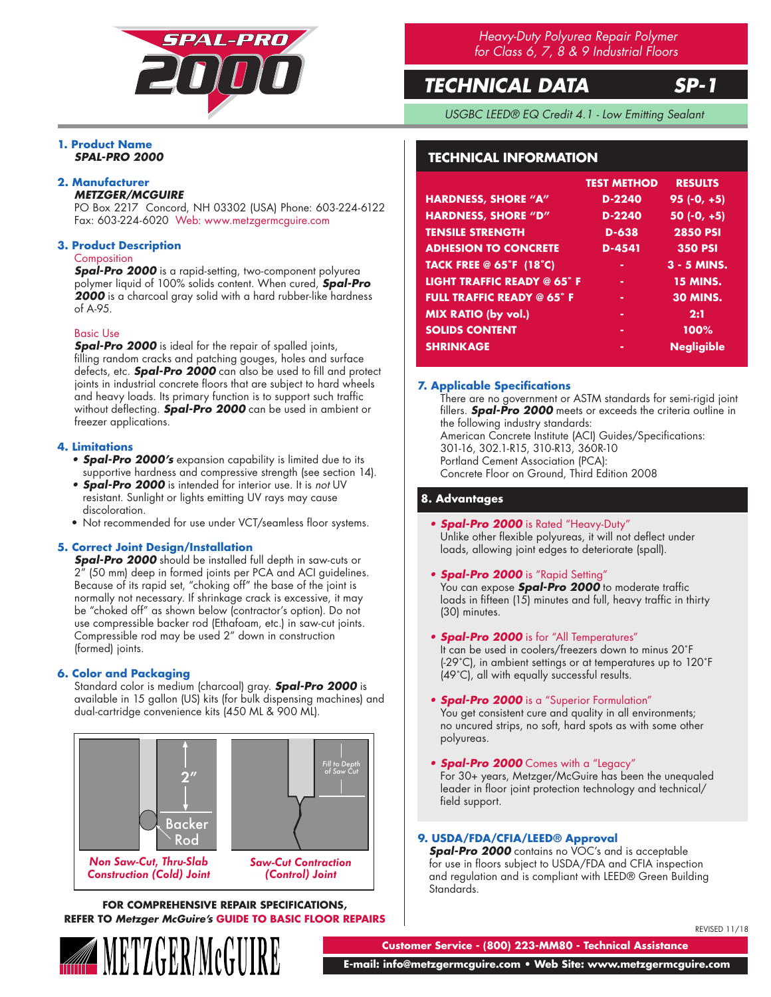

# *TECHNICAL DATA SP-1*

*USGBC LEED® EQ Credit 4.1 - Low Emitting Sealant*

### **1. Product Name** *SPAL-PRO 2000*

### **2. Manufacturer** *METZGER/MCGUIRE*

PO Box 2217 Concord, NH 03302 (USA) Phone: 603-224-6122 Fax: 603-224-6020 Web: www.metzgermcguire.com

# **3. Product Description**

### **Composition**

*Spal-Pro 2000* is a rapid-setting, two-component polyurea polymer liquid of 100% solids content. When cured, *Spal-Pro 2000* is a charcoal gray solid with a hard rubber-like hardness of A-95.

## Basic Use

*Spal-Pro 2000* is ideal for the repair of spalled joints, filling random cracks and patching gouges, holes and surface defects, etc. *Spal-Pro 2000* can also be used to fill and protect joints in industrial concrete floors that are subject to hard wheels and heavy loads. Its primary function is to support such traffic without deflecting. *Spal-Pro 2000* can be used in ambient or freezer applications.

## **4. Limitations**

- *• Spal-Pro 2000's* expansion capability is limited due to its supportive hardness and compressive strength (see section 14).
- *• Spal-Pro 2000* is intended for interior use. It is *not* UV resistant. Sunlight or lights emitting UV rays may cause discoloration.
- Not recommended for use under VCT/seamless floor systems.

### **5. Correct Joint Design/Installation**

*Spal-Pro 2000* should be installed full depth in saw-cuts or 2" (50 mm) deep in formed joints per PCA and ACI guidelines. Because of its rapid set, "choking off" the base of the joint is normally not necessary. If shrinkage crack is excessive, it may be "choked off" as shown below (contractor's option). Do not use compressible backer rod (Ethafoam, etc.) in saw-cut joints. Compressible rod may be used 2" down in construction (formed) joints.

# **6. Color and Packaging**

Standard color is medium (charcoal) gray. *Spal-Pro 2000* is available in 15 gallon (US) kits (for bulk dispensing machines) and dual-cartridge convenience kits (450 ML & 900 ML).



**FOR COMPREHENSIVE REPAIR SPECIFICATIONS, REFER TO** *Metzger McGuire's* **GUIDE TO BASIC FLOOR REPAIRS**



# **TECHNICAL INFORMATION**

|                                   | <b>TEST METHOD</b> | <b>RESULTS</b>    |
|-----------------------------------|--------------------|-------------------|
| <b>HARDNESS, SHORE "A"</b>        | D-2240             | $95 (-0, +5)$     |
| <b>HARDNESS, SHORE "D"</b>        | $D-2240$           | $50(-0, +5)$      |
| <b>TENSILE STRENGTH</b>           | D-638              | <b>2850 PSI</b>   |
| <b>ADHESION TO CONCRETE</b>       | $D - 4541$         | <b>350 PSI</b>    |
| TACK FREE $@$ 65°F (18°C)         |                    | $3 - 5$ MINS.     |
| <b>LIGHT TRAFFIC READY @ 65°F</b> | ۰                  | <b>15 MINS.</b>   |
| <b>FULL TRAFFIC READY @ 65°F</b>  | ۰                  | <b>30 MINS.</b>   |
| <b>MIX RATIO (by vol.)</b>        | -                  | 2:1               |
| <b>SOLIDS CONTENT</b>             | ۰                  | 100%              |
| <b>SHRINKAGE</b>                  | ۰                  | <b>Negligible</b> |

# **7. Applicable Specifications**

There are no government or ASTM standards for semi-rigid joint fillers. *Spal-Pro 2000* meets or exceeds the criteria outline in the following industry standards: American Concrete Institute (ACI) Guides/Specifications: 301-16, 302.1-R15, 310-R13, 360R-10 Portland Cement Association (PCA): Concrete Floor on Ground, Third Edition 2008

# **8. Advantages**

- *• Spal-Pro 2000* is Rated "Heavy-Duty" Unlike other flexible polyureas, it will not deflect under loads, allowing joint edges to deteriorate (spall).
- *• Spal-Pro 2000* is "Rapid Setting"

You can expose *Spal-Pro 2000* to moderate traffic loads in fifteen (15) minutes and full, heavy traffic in thirty (30) minutes.

*• Spal-Pro 2000* is for "All Temperatures"

It can be used in coolers/freezers down to minus 20˚F (-29˚C), in ambient settings or at temperatures up to 120˚F (49˚C), all with equally successful results.

*• Spal-Pro 2000* is a "Superior Formulation"

You get consistent cure and quality in all environments; no uncured strips, no soft, hard spots as with some other polyureas.

*• Spal-Pro 2000* Comes with a "Legacy"

For 30+ years, Metzger/McGuire has been the unequaled leader in floor joint protection technology and technical/ field support.

# **9. USDA/FDA/CFIA/LEED® Approval**

**Spal-Pro 2000** contains no VOC's and is acceptable for use in floors subject to USDA/FDA and CFIA inspection and regulation and is compliant with LEED® Green Building Standards.

**Customer Service - (800) 223-MM80 - Technical Assistance**

 **E-mail: info@metzgermcguire.com • Web Site: www.metzgermcguire.com**